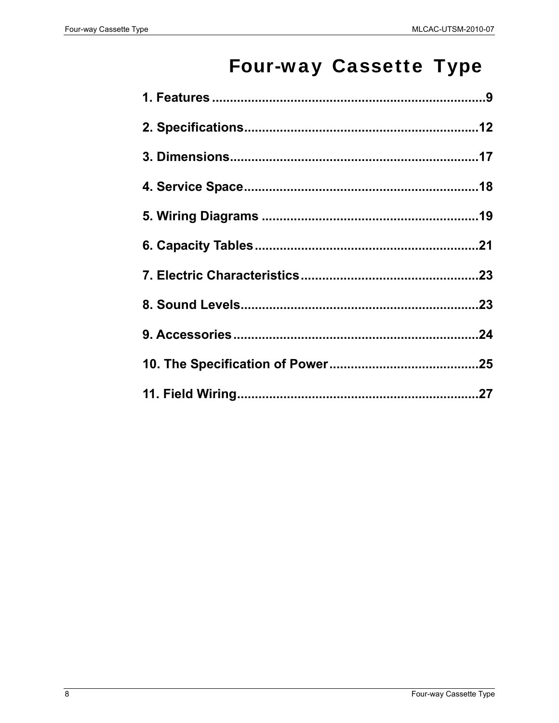# **Four-way Cassette Type**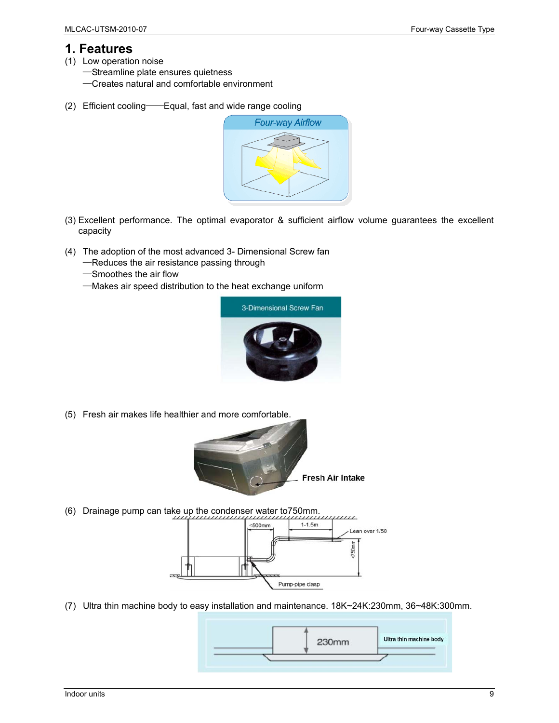## **1. Features**

- (1) Low operation noise
	- —Streamline plate ensures quietness
	- —Creates natural and comfortable environment
- (2) Efficient cooling——Equal, fast and wide range cooling



- (3) Excellent performance. The optimal evaporator & sufficient airflow volume guarantees the excellent capacity
- (4) The adoption of the most advanced 3- Dimensional Screw fan
	- —Reduces the air resistance passing through
	- —Smoothes the air flow
	- —Makes air speed distribution to the heat exchange uniform



(5) Fresh air makes life healthier and more comfortable.



(6) Drainage pump can take up the condenser water to750mm.



(7) Ultra thin machine body to easy installation and maintenance. 18K~24K:230mm, 36~48K:300mm.

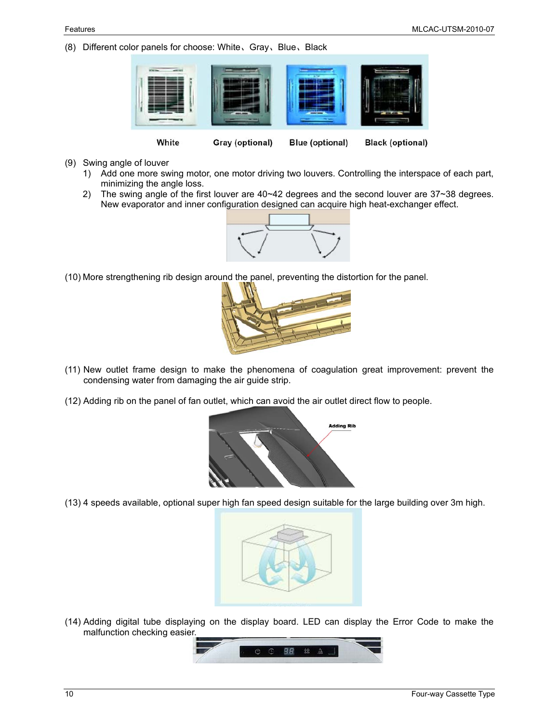(8) Different color panels for choose: White、Gray、Blue、Black



- (9) Swing angle of louver
	- 1) Add one more swing motor, one motor driving two louvers. Controlling the interspace of each part, minimizing the angle loss.
	- 2) The swing angle of the first louver are 40~42 degrees and the second louver are 37~38 degrees. New evaporator and inner configuration designed can acquire high heat-exchanger effect.



(10) More strengthening rib design around the panel, preventing the distortion for the panel.



- (11) New outlet frame design to make the phenomena of coagulation great improvement: prevent the condensing water from damaging the air guide strip.
- (12) Adding rib on the panel of fan outlet, which can avoid the air outlet direct flow to people.



(13) 4 speeds available, optional super high fan speed design suitable for the large building over 3m high.



(14) Adding digital tube displaying on the display board. LED can display the Error Code to make the malfunction checking easier.

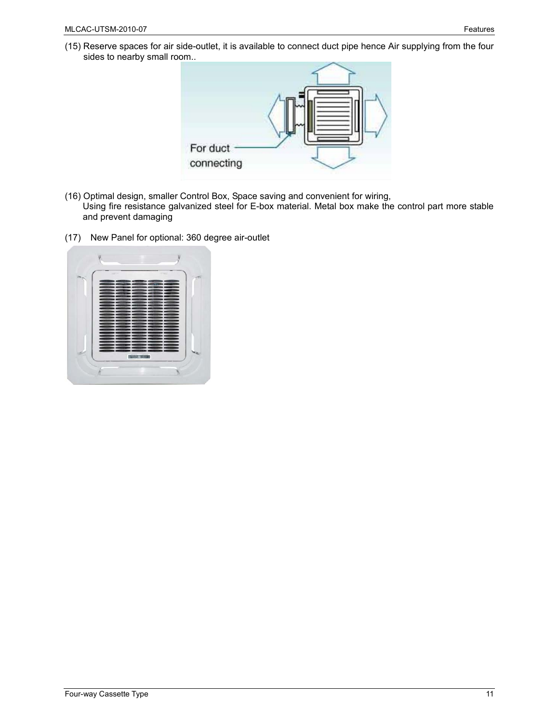(15) Reserve spaces for air side-outlet, it is available to connect duct pipe hence Air supplying from the four sides to nearby small room..



- (16) Optimal design, smaller Control Box, Space saving and convenient for wiring, Using fire resistance galvanized steel for E-box material. Metal box make the control part more stable and prevent damaging
- (17) New Panel for optional: 360 degree air-outlet

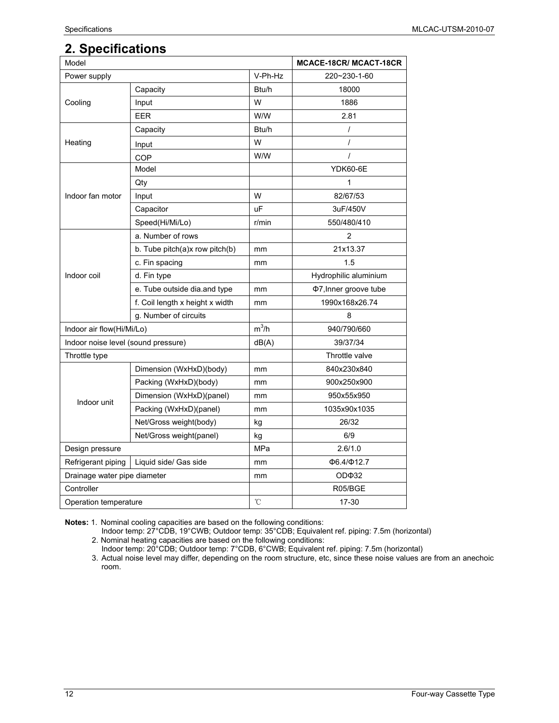# **2. Specifications**

| Model                               |                                 |         | <b>MCACE-18CR/ MCACT-18CR</b> |
|-------------------------------------|---------------------------------|---------|-------------------------------|
| Power supply                        |                                 | V-Ph-Hz | 220~230-1-60                  |
|                                     | Capacity                        | Btu/h   | 18000                         |
| Cooling                             | Input                           | W       | 1886                          |
|                                     | <b>EER</b>                      | W/W     | 2.81                          |
|                                     | Capacity                        | Btu/h   | $\prime$                      |
| Heating                             | Input                           | W       | $\prime$                      |
|                                     | COP                             | W/W     | $\prime$                      |
|                                     | Model                           |         | <b>YDK60-6E</b>               |
| Indoor fan motor                    | Qty                             |         | 1                             |
|                                     | Input                           | W       | 82/67/53                      |
|                                     | Capacitor                       | uF      | 3uF/450V                      |
|                                     | Speed(Hi/Mi/Lo)                 | r/min   | 550/480/410                   |
| Indoor coil                         | a. Number of rows               |         | $\overline{2}$                |
|                                     | b. Tube pitch(a)x row pitch(b)  | mm      | 21x13.37                      |
|                                     | c. Fin spacing                  | mm      | 1.5                           |
|                                     | d. Fin type                     |         | Hydrophilic aluminium         |
|                                     | e. Tube outside dia and type    | mm      | Φ7, Inner groove tube         |
|                                     | f. Coil length x height x width | mm      | 1990x168x26.74                |
|                                     | g. Number of circuits           |         | 8                             |
| Indoor air flow(Hi/Mi/Lo)           |                                 | $m^3/h$ | 940/790/660                   |
| Indoor noise level (sound pressure) |                                 | dB(A)   | 39/37/34                      |
| Throttle type                       |                                 |         | Throttle valve                |
|                                     | Dimension (WxHxD)(body)         | mm      | 840x230x840                   |
|                                     | Packing (WxHxD)(body)           | mm      | 900x250x900                   |
| Indoor unit                         | Dimension (WxHxD)(panel)        | mm      | 950x55x950                    |
|                                     | Packing (WxHxD)(panel)          | mm      | 1035x90x1035                  |
|                                     | Net/Gross weight(body)          | kg      | 26/32                         |
|                                     | Net/Gross weight(panel)         | kg      | 6/9                           |
| Design pressure                     |                                 | MPa     | 2.6/1.0                       |
| Refrigerant piping                  | Liquid side/ Gas side           | mm      | Ф6.4/Ф12.7                    |
| Drainage water pipe diameter        |                                 | mm      | OD <sub>Φ32</sub>             |
| Controller                          |                                 |         | R05/BGE                       |
| Operation temperature               |                                 | °C      | 17-30                         |

**Notes:** 1. Nominal cooling capacities are based on the following conditions:

Indoor temp: 27°CDB, 19°CWB; Outdoor temp: 35°CDB; Equivalent ref. piping: 7.5m (horizontal) 2. Nominal heating capacities are based on the following conditions:

Indoor temp: 20°CDB; Outdoor temp: 7°CDB, 6°CWB; Equivalent ref. piping: 7.5m (horizontal)

3. Actual noise level may differ, depending on the room structure, etc, since these noise values are from an anechoic room.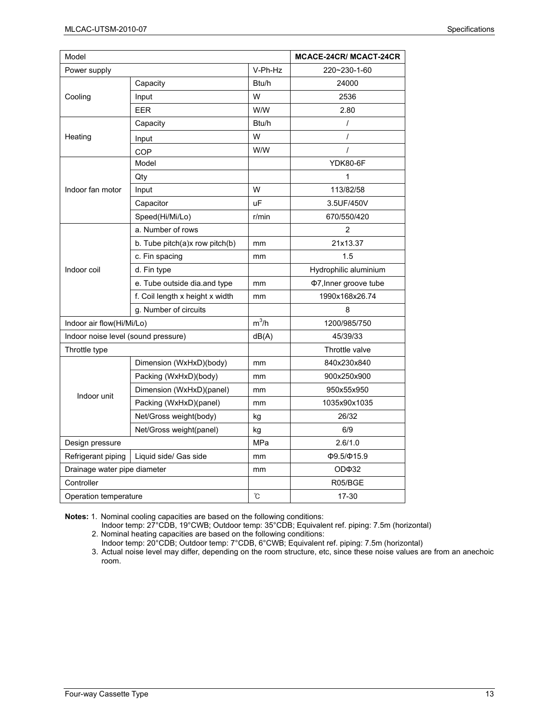| Model                               |                                 |                                                                                                                                                                                                                                                                                                                                                                                                                                                                                                                                                                | <b>MCACE-24CR/ MCACT-24CR</b> |
|-------------------------------------|---------------------------------|----------------------------------------------------------------------------------------------------------------------------------------------------------------------------------------------------------------------------------------------------------------------------------------------------------------------------------------------------------------------------------------------------------------------------------------------------------------------------------------------------------------------------------------------------------------|-------------------------------|
| Power supply                        |                                 | V-Ph-Hz                                                                                                                                                                                                                                                                                                                                                                                                                                                                                                                                                        | 220~230-1-60                  |
|                                     | Capacity                        | Btu/h                                                                                                                                                                                                                                                                                                                                                                                                                                                                                                                                                          | 24000                         |
| Cooling                             | Input                           | W                                                                                                                                                                                                                                                                                                                                                                                                                                                                                                                                                              | 2536                          |
|                                     | EER                             | W/W<br>2.80<br>Btu/h<br>$\prime$<br>W<br>$\prime$<br>W/W<br>$\prime$<br><b>YDK80-6F</b><br>1<br>W<br>113/82/58<br>uF<br>3.5UF/450V<br>670/550/420<br>r/min<br>2<br>21x13.37<br>mm<br>1.5<br>mm<br>Hydrophilic aluminium<br>Φ7, Inner groove tube<br>mm<br>1990x168x26.74<br>mm<br>8<br>$m^3/h$<br>1200/985/750<br>dB(A)<br>45/39/33<br>Throttle valve<br>840x230x840<br>mm<br>900x250x900<br>mm<br>950x55x950<br>mm<br>1035x90x1035<br>mm<br>26/32<br>kg<br>6/9<br>kg<br>MPa<br>2.6/1.0<br>$\Phi$ 9.5/ $\Phi$ 15.9<br>mm<br>OD <sub>Φ32</sub><br>mm<br>R05/BGE |                               |
|                                     | Capacity                        |                                                                                                                                                                                                                                                                                                                                                                                                                                                                                                                                                                |                               |
| Heating                             | Input                           |                                                                                                                                                                                                                                                                                                                                                                                                                                                                                                                                                                |                               |
|                                     | COP                             |                                                                                                                                                                                                                                                                                                                                                                                                                                                                                                                                                                |                               |
|                                     | Model                           |                                                                                                                                                                                                                                                                                                                                                                                                                                                                                                                                                                |                               |
|                                     | Qty                             |                                                                                                                                                                                                                                                                                                                                                                                                                                                                                                                                                                |                               |
| Indoor fan motor                    | Input                           |                                                                                                                                                                                                                                                                                                                                                                                                                                                                                                                                                                |                               |
|                                     | Capacitor                       |                                                                                                                                                                                                                                                                                                                                                                                                                                                                                                                                                                |                               |
|                                     | Speed(Hi/Mi/Lo)                 |                                                                                                                                                                                                                                                                                                                                                                                                                                                                                                                                                                |                               |
| Indoor coil                         | a. Number of rows               |                                                                                                                                                                                                                                                                                                                                                                                                                                                                                                                                                                |                               |
|                                     | b. Tube pitch(a)x row pitch(b)  |                                                                                                                                                                                                                                                                                                                                                                                                                                                                                                                                                                |                               |
|                                     | c. Fin spacing                  |                                                                                                                                                                                                                                                                                                                                                                                                                                                                                                                                                                |                               |
|                                     | d. Fin type                     |                                                                                                                                                                                                                                                                                                                                                                                                                                                                                                                                                                |                               |
|                                     | e. Tube outside dia.and type    |                                                                                                                                                                                                                                                                                                                                                                                                                                                                                                                                                                |                               |
|                                     | f. Coil length x height x width |                                                                                                                                                                                                                                                                                                                                                                                                                                                                                                                                                                |                               |
|                                     | g. Number of circuits           |                                                                                                                                                                                                                                                                                                                                                                                                                                                                                                                                                                |                               |
| Indoor air flow(Hi/Mi/Lo)           |                                 |                                                                                                                                                                                                                                                                                                                                                                                                                                                                                                                                                                |                               |
| Indoor noise level (sound pressure) |                                 |                                                                                                                                                                                                                                                                                                                                                                                                                                                                                                                                                                |                               |
| Throttle type                       |                                 |                                                                                                                                                                                                                                                                                                                                                                                                                                                                                                                                                                |                               |
|                                     | Dimension (WxHxD)(body)         |                                                                                                                                                                                                                                                                                                                                                                                                                                                                                                                                                                |                               |
|                                     | Packing (WxHxD)(body)           |                                                                                                                                                                                                                                                                                                                                                                                                                                                                                                                                                                |                               |
| Indoor unit                         | Dimension (WxHxD)(panel)        |                                                                                                                                                                                                                                                                                                                                                                                                                                                                                                                                                                |                               |
|                                     | Packing (WxHxD)(panel)          |                                                                                                                                                                                                                                                                                                                                                                                                                                                                                                                                                                |                               |
|                                     | Net/Gross weight(body)          |                                                                                                                                                                                                                                                                                                                                                                                                                                                                                                                                                                |                               |
|                                     | Net/Gross weight(panel)         |                                                                                                                                                                                                                                                                                                                                                                                                                                                                                                                                                                |                               |
| Design pressure                     |                                 |                                                                                                                                                                                                                                                                                                                                                                                                                                                                                                                                                                |                               |
| Refrigerant piping                  | Liquid side/ Gas side           |                                                                                                                                                                                                                                                                                                                                                                                                                                                                                                                                                                |                               |
| Drainage water pipe diameter        |                                 |                                                                                                                                                                                                                                                                                                                                                                                                                                                                                                                                                                |                               |
| Controller                          |                                 |                                                                                                                                                                                                                                                                                                                                                                                                                                                                                                                                                                |                               |
| Operation temperature               |                                 | Ĉ                                                                                                                                                                                                                                                                                                                                                                                                                                                                                                                                                              | 17-30                         |

Indoor temp: 27°CDB, 19°CWB; Outdoor temp: 35°CDB; Equivalent ref. piping: 7.5m (horizontal)

2. Nominal heating capacities are based on the following conditions:

Indoor temp: 20°CDB; Outdoor temp: 7°CDB, 6°CWB; Equivalent ref. piping: 7.5m (horizontal) 3. Actual noise level may differ, depending on the room structure, etc, since these noise values are from an anechoic room.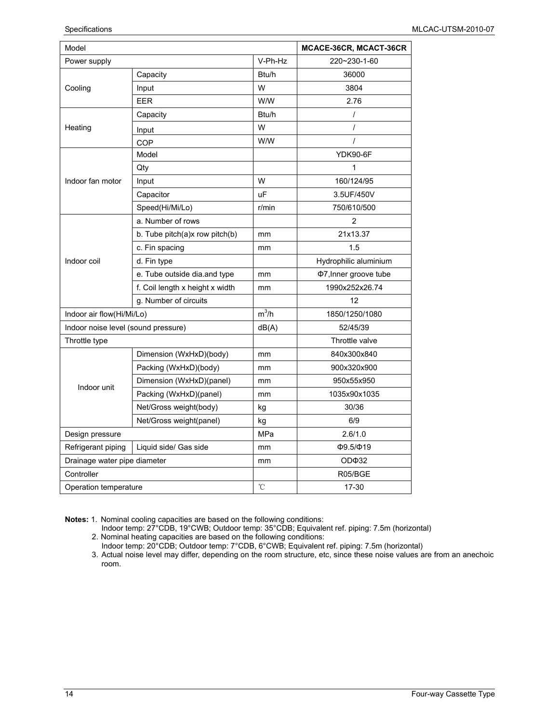| Model                               |                                 |              | MCACE-36CR, MCACT-36CR |
|-------------------------------------|---------------------------------|--------------|------------------------|
| Power supply                        |                                 | V-Ph-Hz      | 220~230-1-60           |
|                                     | Capacity                        | Btu/h        | 36000                  |
| Cooling                             | Input                           | W            | 3804                   |
|                                     | <b>EER</b>                      | W/W          | 2.76                   |
|                                     | Capacity                        | Btu/h        | $\prime$               |
| Heating                             | Input                           | W            | $\prime$               |
|                                     | COP                             | W/W          | $\prime$               |
|                                     | Model                           |              | <b>YDK90-6F</b>        |
|                                     | Qty                             |              | 1                      |
| Indoor fan motor                    | Input                           | W            | 160/124/95             |
|                                     | Capacitor                       | uF           | 3.5UF/450V             |
|                                     | Speed(Hi/Mi/Lo)                 | r/min        | 750/610/500            |
| Indoor coil                         | a. Number of rows               |              | 2                      |
|                                     | b. Tube pitch(a)x row pitch(b)  | mm           | 21x13.37               |
|                                     | c. Fin spacing                  | mm           | 1.5                    |
|                                     | d. Fin type                     |              | Hydrophilic aluminium  |
|                                     | e. Tube outside dia.and type    | mm           | Φ7, Inner groove tube  |
|                                     | f. Coil length x height x width | mm           | 1990x252x26.74         |
|                                     | g. Number of circuits           |              | 12                     |
| Indoor air flow(Hi/Mi/Lo)           |                                 | $m^3/h$      | 1850/1250/1080         |
| Indoor noise level (sound pressure) |                                 | dB(A)        | 52/45/39               |
| Throttle type                       |                                 |              | Throttle valve         |
|                                     | Dimension (WxHxD)(body)         | mm           | 840x300x840            |
|                                     | Packing (WxHxD)(body)           | mm           | 900x320x900            |
|                                     | Dimension (WxHxD)(panel)        | mm           | 950x55x950             |
| Indoor unit                         | Packing (WxHxD)(panel)          | mm           | 1035x90x1035           |
|                                     | Net/Gross weight(body)          | kg           | 30/36                  |
|                                     | Net/Gross weight(panel)         | kg           | 6/9                    |
| Design pressure                     |                                 | MPa          | 2.6/1.0                |
| Refrigerant piping                  | Liquid side/ Gas side           | mm           | $\Phi$ 9.5/ $\Phi$ 19  |
| Drainage water pipe diameter        |                                 | mm           | OD <sub>Φ32</sub>      |
| Controller                          |                                 |              | R05/BGE                |
| Operation temperature               |                                 | $^{\circ}$ C | 17-30                  |

Indoor temp: 27°CDB, 19°CWB; Outdoor temp: 35°CDB; Equivalent ref. piping: 7.5m (horizontal) 2. Nominal heating capacities are based on the following conditions:

Indoor temp: 20°CDB; Outdoor temp: 7°CDB, 6°CWB; Equivalent ref. piping: 7.5m (horizontal)

3. Actual noise level may differ, depending on the room structure, etc, since these noise values are from an anechoic room.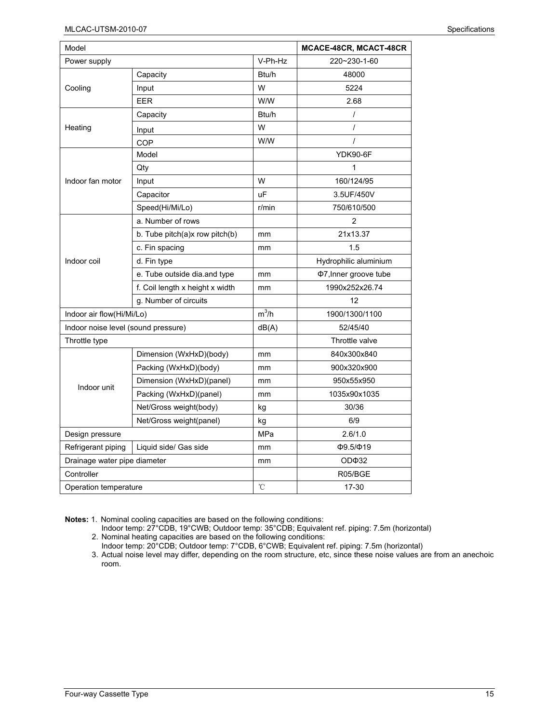| Model                               |                                 |         | MCACE-48CR, MCACT-48CR |
|-------------------------------------|---------------------------------|---------|------------------------|
| Power supply                        |                                 | V-Ph-Hz | 220~230-1-60           |
|                                     | Capacity                        | Btu/h   | 48000                  |
| Cooling                             | Input                           | W       | 5224                   |
|                                     | <b>EER</b>                      | W/W     | 2.68                   |
|                                     | Capacity                        | Btu/h   | $\prime$               |
| Heating                             | Input                           | W       | $\overline{I}$         |
|                                     | COP                             | W/W     | $\prime$               |
|                                     | Model                           |         | <b>YDK90-6F</b>        |
|                                     | Qty                             |         | 1                      |
| Indoor fan motor                    | Input                           | W       | 160/124/95             |
|                                     | Capacitor                       | uF      | 3.5UF/450V             |
|                                     | Speed(Hi/Mi/Lo)                 | r/min   | 750/610/500            |
|                                     | a. Number of rows               |         | $\overline{2}$         |
| Indoor coil                         | b. Tube pitch(a)x row pitch(b)  | mm      | 21x13.37               |
|                                     | c. Fin spacing                  | mm      | 1.5                    |
|                                     | d. Fin type                     |         | Hydrophilic aluminium  |
|                                     | e. Tube outside dia and type    | mm      | Φ7, Inner groove tube  |
|                                     | f. Coil length x height x width | mm      | 1990x252x26.74         |
|                                     | g. Number of circuits           |         | 12                     |
| Indoor air flow(Hi/Mi/Lo)           |                                 | $m^3/h$ | 1900/1300/1100         |
| Indoor noise level (sound pressure) |                                 | dB(A)   | 52/45/40               |
| Throttle type                       |                                 |         | Throttle valve         |
|                                     | Dimension (WxHxD)(body)         | mm      | 840x300x840            |
|                                     | Packing (WxHxD)(body)           | mm      | 900x320x900            |
| Indoor unit                         | Dimension (WxHxD)(panel)        | mm      | 950x55x950             |
|                                     | Packing (WxHxD)(panel)          | mm      | 1035x90x1035           |
|                                     | Net/Gross weight(body)          | kg      | 30/36                  |
|                                     | Net/Gross weight(panel)         | kg      | 6/9                    |
| Design pressure                     |                                 | MPa     | 2.6/1.0                |
| Refrigerant piping                  | Liquid side/ Gas side           | mm      | $\Phi$ 9.5/ $\Phi$ 19  |
| Drainage water pipe diameter        |                                 | mm      | OD <sub>Φ32</sub>      |
| Controller                          |                                 |         | R05/BGE                |
| Operation temperature               |                                 | °C      | 17-30                  |

Indoor temp: 27°CDB, 19°CWB; Outdoor temp: 35°CDB; Equivalent ref. piping: 7.5m (horizontal)

2. Nominal heating capacities are based on the following conditions:

Indoor temp: 20°CDB; Outdoor temp: 7°CDB, 6°CWB; Equivalent ref. piping: 7.5m (horizontal)

3. Actual noise level may differ, depending on the room structure, etc, since these noise values are from an anechoic room.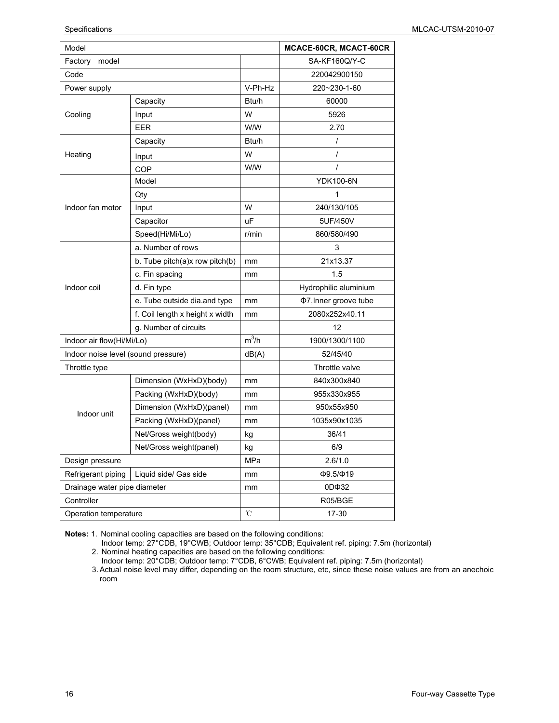| Model                               |                                 |         | MCACE-60CR, MCACT-60CR            |
|-------------------------------------|---------------------------------|---------|-----------------------------------|
| Factory<br>model                    |                                 |         | SA-KF160Q/Y-C                     |
| Code                                |                                 |         | 220042900150                      |
| Power supply                        |                                 | V-Ph-Hz | 220~230-1-60                      |
|                                     | Capacity                        | Btu/h   | 60000                             |
| Cooling                             | Input                           | W       | 5926                              |
|                                     | <b>EER</b>                      | W/W     | 2.70                              |
|                                     | Capacity                        | Btu/h   | $\prime$                          |
| Heating                             | Input                           | W       | $\prime$                          |
|                                     | COP                             | W/W     | $\prime$                          |
|                                     | Model                           |         | <b>YDK100-6N</b>                  |
|                                     | Qty                             |         | 1                                 |
| Indoor fan motor                    | Input                           | W       | 240/130/105                       |
|                                     | Capacitor                       | uF      | 5UF/450V                          |
|                                     | Speed(Hi/Mi/Lo)                 | r/min   | 860/580/490                       |
|                                     | a. Number of rows               |         | 3                                 |
|                                     | b. Tube pitch(a)x row pitch(b)  | mm      | 21x13.37                          |
|                                     | c. Fin spacing                  | mm      | 1.5                               |
| Indoor coil                         | d. Fin type                     |         | Hydrophilic aluminium             |
|                                     | e. Tube outside dia.and type    | mm      | Φ7, Inner groove tube             |
|                                     | f. Coil length x height x width | mm      | 2080x252x40.11                    |
|                                     | g. Number of circuits           |         | 12                                |
| Indoor air flow(Hi/Mi/Lo)           |                                 | $m^3/h$ | 1900/1300/1100                    |
| Indoor noise level (sound pressure) |                                 | dB(A)   | 52/45/40                          |
| Throttle type                       |                                 |         | Throttle valve                    |
|                                     | Dimension (WxHxD)(body)         | mm      | 840x300x840                       |
|                                     | Packing (WxHxD)(body)           | mm      | 955x330x955                       |
| Indoor unit                         | Dimension (WxHxD)(panel)        | mm      | 950x55x950                        |
|                                     | Packing (WxHxD)(panel)          | mm      | 1035x90x1035                      |
|                                     | Net/Gross weight(body)          | kg      | 36/41                             |
|                                     | Net/Gross weight(panel)         | kg      | 6/9                               |
| Design pressure                     |                                 | MPa     | 2.6/1.0                           |
| Refrigerant piping                  | Liquid side/ Gas side           | mm      | Ф9.5/Ф19                          |
| Drainage water pipe diameter        |                                 | mm      | 0D <sub><math>\Phi</math>32</sub> |
| Controller                          |                                 |         | R05/BGE                           |
| Operation temperature               |                                 | °C      | 17-30                             |

Indoor temp: 27°CDB, 19°CWB; Outdoor temp: 35°CDB; Equivalent ref. piping: 7.5m (horizontal) 2. Nominal heating capacities are based on the following conditions:

Indoor temp: 20°CDB; Outdoor temp: 7°CDB, 6°CWB; Equivalent ref. piping: 7.5m (horizontal)

3. Actual noise level may differ, depending on the room structure, etc, since these noise values are from an anechoic room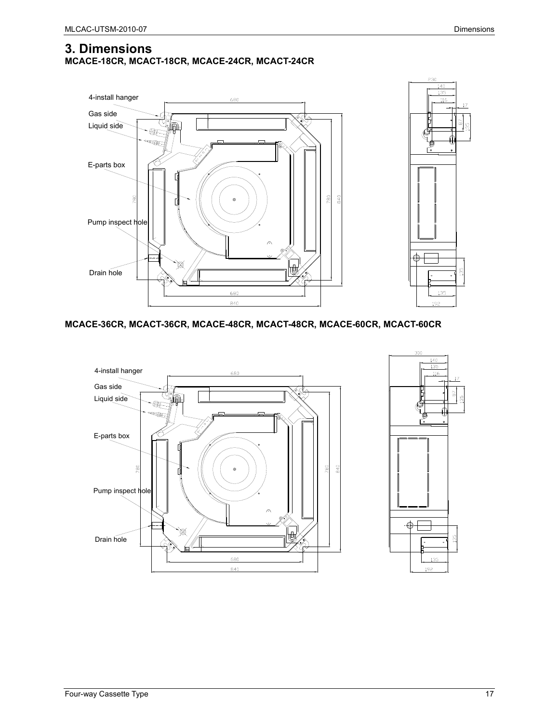### **3. Dimensions MCACE-18CR, MCACT-18CR, MCACE-24CR, MCACT-24CR**



#### **MCACE-36CR, MCACT-36CR, MCACE-48CR, MCACT-48CR, MCACE-60CR, MCACT-60CR**



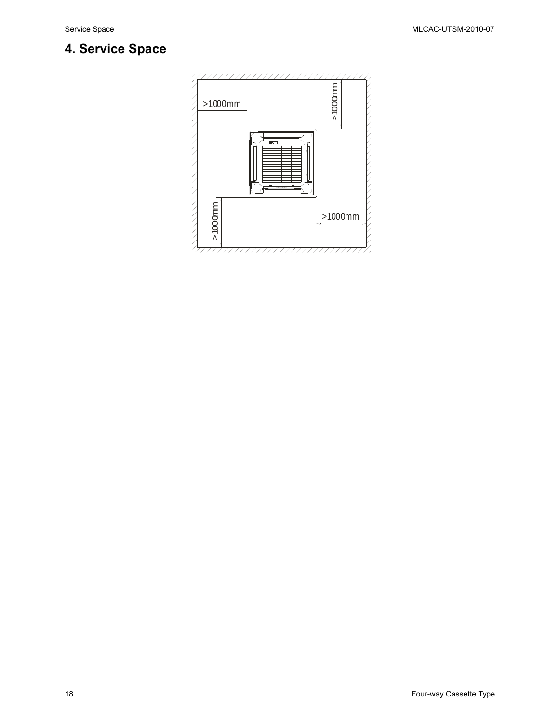# **4. Service Space**

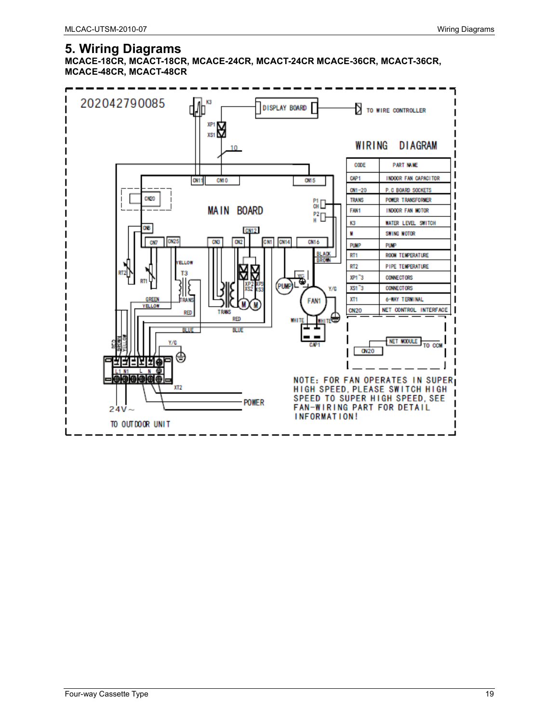## **5. Wiring Diagrams**

**MCACE-18CR, MCACT-18CR, MCACE-24CR, MCACT-24CR MCACE-36CR, MCACT-36CR, MCACE-48CR, MCACT-48CR** 

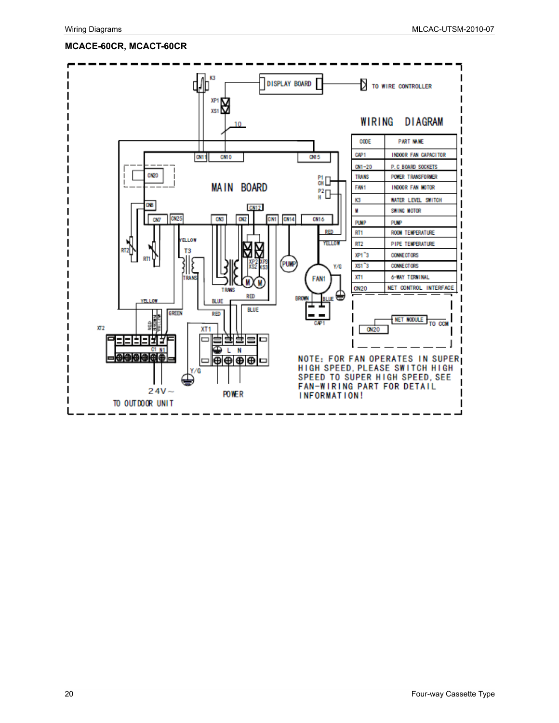#### **MCACE-60CR, MCACT-60CR**

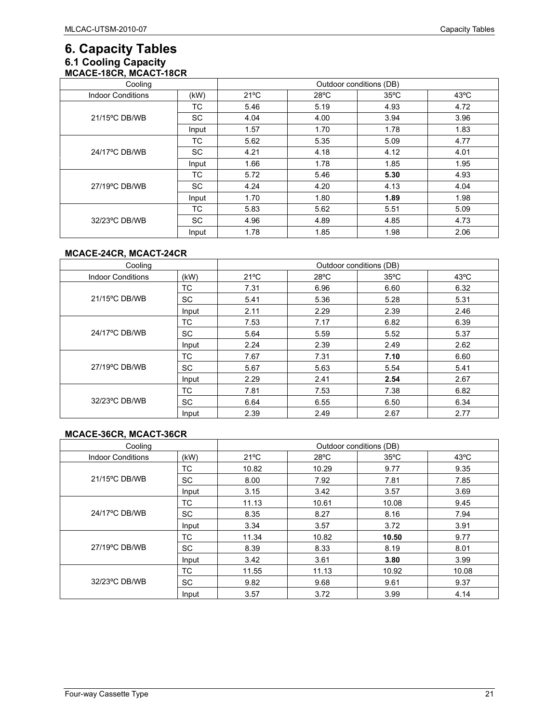## **6. Capacity Tables 6.1 Cooling Capacity MCACE-18CR, MCACT-18CR**

| Cooling                  |           | Outdoor conditions (DB) |                |                |                |
|--------------------------|-----------|-------------------------|----------------|----------------|----------------|
| <b>Indoor Conditions</b> | (kW)      | $21^{\circ}$ C          | $28^{\circ}$ C | $35^{\circ}$ C | $43^{\circ}$ C |
|                          | ТC        | 5.46                    | 5.19           | 4.93           | 4.72           |
| 21/15°C DB/WB            | <b>SC</b> | 4.04                    | 4.00           | 3.94           | 3.96           |
|                          | Input     | 1.57                    | 1.70           | 1.78           | 1.83           |
|                          | ТC        | 5.62                    | 5.35           | 5.09           | 4.77           |
| 24/17°C DB/WB            | <b>SC</b> | 4.21                    | 4.18           | 4.12           | 4.01           |
|                          | Input     | 1.66                    | 1.78           | 1.85           | 1.95           |
| 27/19°C DB/WB            | ТC        | 5.72                    | 5.46           | 5.30           | 4.93           |
|                          | <b>SC</b> | 4.24                    | 4.20           | 4.13           | 4.04           |
|                          | Input     | 1.70                    | 1.80           | 1.89           | 1.98           |
| 32/23°C DB/WB            | ТC        | 5.83                    | 5.62           | 5.51           | 5.09           |
|                          | <b>SC</b> | 4.96                    | 4.89           | 4.85           | 4.73           |
|                          | Input     | 1.78                    | 1.85           | 1.98           | 2.06           |

#### **MCACE-24CR, MCACT-24CR**

| Cooling                  |       | Outdoor conditions (DB) |                |                |                |
|--------------------------|-------|-------------------------|----------------|----------------|----------------|
| <b>Indoor Conditions</b> | (kW)  | $21^{\circ}$ C          | $28^{\circ}$ C | $35^{\circ}$ C | $43^{\circ}$ C |
|                          | ТC    | 7.31                    | 6.96           | 6.60           | 6.32           |
| $21/15^{\circ}$ C DB/WB  | SC    | 5.41                    | 5.36           | 5.28           | 5.31           |
|                          | Input | 2.11                    | 2.29           | 2.39           | 2.46           |
|                          | ТC    | 7.53                    | 7.17           | 6.82           | 6.39           |
| 24/17°C DB/WB            | SC    | 5.64                    | 5.59           | 5.52           | 5.37           |
|                          | Input | 2.24                    | 2.39           | 2.49           | 2.62           |
| 27/19°C DB/WB            | ТC    | 7.67                    | 7.31           | 7.10           | 6.60           |
|                          | SC    | 5.67                    | 5.63           | 5.54           | 5.41           |
|                          | Input | 2.29                    | 2.41           | 2.54           | 2.67           |
| 32/23°C DB/WB            | ТC    | 7.81                    | 7.53           | 7.38           | 6.82           |
|                          | SC    | 6.64                    | 6.55           | 6.50           | 6.34           |
|                          | Input | 2.39                    | 2.49           | 2.67           | 2.77           |

#### **MCACE-36CR, MCACT-36CR**

| Cooling                  |           | Outdoor conditions (DB) |                |                |                |
|--------------------------|-----------|-------------------------|----------------|----------------|----------------|
| <b>Indoor Conditions</b> | (kW)      | $21^{\circ}$ C          | $28^{\circ}$ C | $35^{\circ}$ C | $43^{\circ}$ C |
|                          | <b>TC</b> | 10.82                   | 10.29          | 9.77           | 9.35           |
| 21/15°C DB/WB            | <b>SC</b> | 8.00                    | 7.92           | 7.81           | 7.85           |
|                          | Input     | 3.15                    | 3.42           | 3.57           | 3.69           |
|                          | ТC        | 11.13                   | 10.61          | 10.08          | 9.45           |
| $24/17^{\circ}$ C DB/WB  | <b>SC</b> | 8.35                    | 8.27           | 8.16           | 7.94           |
|                          | Input     | 3.34                    | 3.57           | 3.72           | 3.91           |
| $27/19^{\circ}$ C DB/WB  | ТC        | 11.34                   | 10.82          | 10.50          | 9.77           |
|                          | <b>SC</b> | 8.39                    | 8.33           | 8.19           | 8.01           |
|                          | Input     | 3.42                    | 3.61           | 3.80           | 3.99           |
| 32/23°C DB/WB            | ТC        | 11.55                   | 11.13          | 10.92          | 10.08          |
|                          | SC        | 9.82                    | 9.68           | 9.61           | 9.37           |
|                          | Input     | 3.57                    | 3.72           | 3.99           | 4.14           |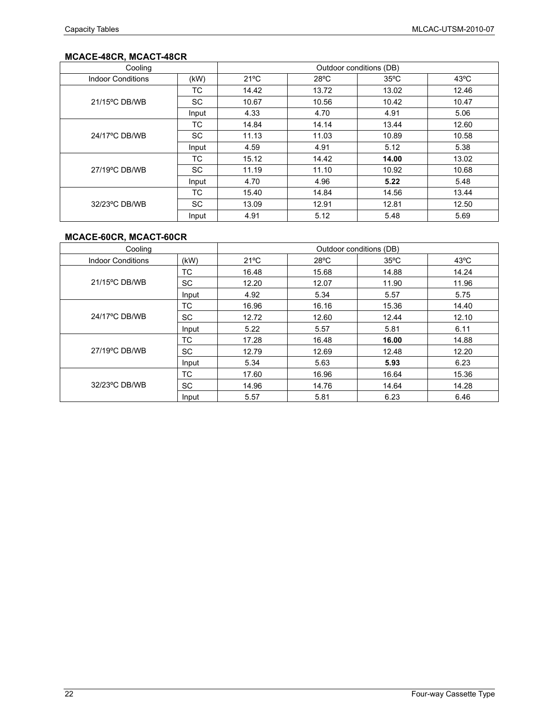## **MCACE-48CR, MCACT-48CR**

| Cooling                  |           | Outdoor conditions (DB) |                |                |                |
|--------------------------|-----------|-------------------------|----------------|----------------|----------------|
| <b>Indoor Conditions</b> | (kW)      | $21^{\circ}$ C          | $28^{\circ}$ C | $35^{\circ}$ C | $43^{\circ}$ C |
|                          | ТC        | 14.42                   | 13.72          | 13.02          | 12.46          |
| 21/15°C DB/WB            | SC.       | 10.67                   | 10.56          | 10.42          | 10.47          |
|                          | Input     | 4.33                    | 4.70           | 4.91           | 5.06           |
|                          | ТC        | 14.84                   | 14.14          | 13.44          | 12.60          |
| 24/17°C DB/WB            | SC.       | 11.13                   | 11.03          | 10.89          | 10.58          |
|                          | Input     | 4.59                    | 4.91           | 5.12           | 5.38           |
| 27/19°C DB/WB            | ТC        | 15.12                   | 14.42          | 14.00          | 13.02          |
|                          | SC.       | 11.19                   | 11.10          | 10.92          | 10.68          |
|                          | Input     | 4.70                    | 4.96           | 5.22           | 5.48           |
|                          | ТC        | 15.40                   | 14.84          | 14.56          | 13.44          |
| 32/23°C DB/WB            | <b>SC</b> | 13.09                   | 12.91          | 12.81          | 12.50          |
|                          | Input     | 4.91                    | 5.12           | 5.48           | 5.69           |

### **MCACE-60CR, MCACT-60CR**

| Cooling                  |           | Outdoor conditions (DB) |                |                |                |
|--------------------------|-----------|-------------------------|----------------|----------------|----------------|
| <b>Indoor Conditions</b> | (kW)      | $21^{\circ}$ C          | $28^{\circ}$ C | $35^{\circ}$ C | $43^{\circ}$ C |
|                          | <b>TC</b> | 16.48                   | 15.68          | 14.88          | 14.24          |
| 21/15°C DB/WB            | <b>SC</b> | 12.20                   | 12.07          | 11.90          | 11.96          |
|                          | Input     | 4.92                    | 5.34           | 5.57           | 5.75           |
|                          | ТC        | 16.96                   | 16.16          | 15.36          | 14.40          |
| 24/17°C DB/WB            | <b>SC</b> | 12.72                   | 12.60          | 12.44          | 12.10          |
|                          | Input     | 5.22                    | 5.57           | 5.81           | 6.11           |
| 27/19°C DB/WB            | <b>TC</b> | 17.28                   | 16.48          | 16.00          | 14.88          |
|                          | <b>SC</b> | 12.79                   | 12.69          | 12.48          | 12.20          |
|                          | Input     | 5.34                    | 5.63           | 5.93           | 6.23           |
| 32/23°C DB/WB            | <b>TC</b> | 17.60                   | 16.96          | 16.64          | 15.36          |
|                          | <b>SC</b> | 14.96                   | 14.76          | 14.64          | 14.28          |
|                          | Input     | 5.57                    | 5.81           | 6.23           | 6.46           |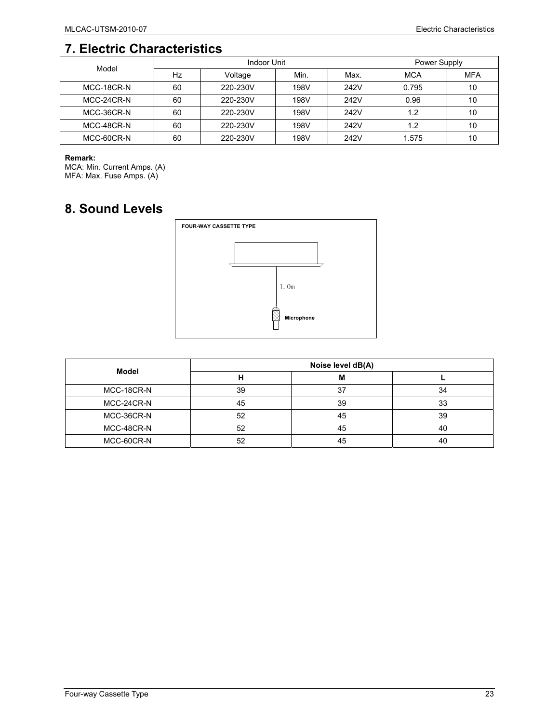# **7. Electric Characteristics**

| Model      |    | Indoor Unit | Power Supply |      |       |            |
|------------|----|-------------|--------------|------|-------|------------|
|            | Hz | Voltage     | Min.         | Max. | MCA   | <b>MFA</b> |
| MCC-18CR-N | 60 | 220-230V    | 198V         | 242V | 0.795 | 10         |
| MCC-24CR-N | 60 | 220-230V    | 198V         | 242V | 0.96  | 10         |
| MCC-36CR-N | 60 | 220-230V    | 198V         | 242V | 1.2   | 10         |
| MCC-48CR-N | 60 | 220-230V    | 198V         | 242V | 1.2   | 10         |
| MCC-60CR-N | 60 | 220-230V    | 198V         | 242V | 1.575 | 10         |

#### **Remark:**

MCA: Min. Current Amps. (A) MFA: Max. Fuse Amps. (A)

# **8. Sound Levels**



| Model      | Noise level dB(A) |    |    |  |
|------------|-------------------|----|----|--|
|            |                   | М  |    |  |
| MCC-18CR-N | 39                | 37 | 34 |  |
| MCC-24CR-N | 45                | 39 | 33 |  |
| MCC-36CR-N | 52                | 45 | 39 |  |
| MCC-48CR-N | 52                | 45 | 40 |  |
| MCC-60CR-N | 52                | 45 | 40 |  |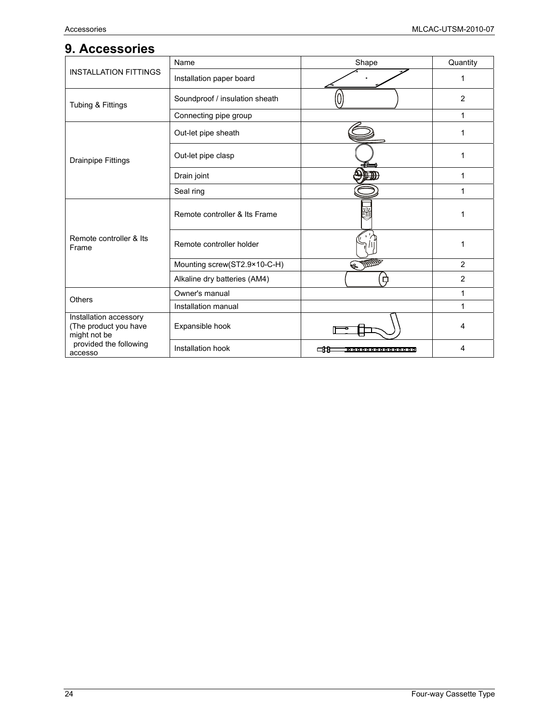## **9. Accessories**

|                                                                 | Name                           | Shape                      | Quantity       |
|-----------------------------------------------------------------|--------------------------------|----------------------------|----------------|
| <b>INSTALLATION FITTINGS</b>                                    | Installation paper board       |                            | 1              |
| Tubing & Fittings                                               | Soundproof / insulation sheath |                            | $\overline{2}$ |
|                                                                 | Connecting pipe group          |                            | 1              |
|                                                                 | Out-let pipe sheath            |                            | 1              |
| <b>Drainpipe Fittings</b>                                       | Out-let pipe clasp             |                            | 1              |
|                                                                 | Drain joint                    |                            | 1              |
|                                                                 | Seal ring                      |                            | 1              |
| Remote controller & Its<br>Frame                                | Remote controller & Its Frame  |                            | 1              |
|                                                                 | Remote controller holder       |                            | 1              |
|                                                                 | Mounting screw(ST2.9×10-C-H)   | EDDE                       | $\overline{2}$ |
|                                                                 | Alkaline dry batteries (AM4)   |                            | $\overline{2}$ |
| <b>Others</b>                                                   | Owner's manual                 |                            | 1              |
|                                                                 | Installation manual            |                            | 1              |
| Installation accessory<br>(The product you have<br>might not be | Expansible hook                |                            | 4              |
| provided the following<br>accesso                               | Installation hook              | cн<br>00000000000000000000 | 4              |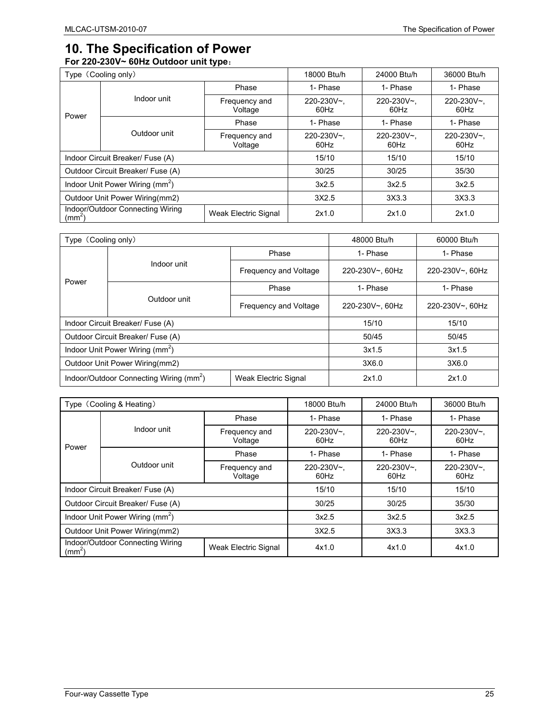## **10. The Specification of Power For 220-230V~ 60Hz Outdoor unit type**:

| . .<br>Type (Cooling only)                                                     |              | 18000 Btu/h              | 24000 Btu/h        | 36000 Btu/h        |                    |
|--------------------------------------------------------------------------------|--------------|--------------------------|--------------------|--------------------|--------------------|
|                                                                                | Indoor unit  | Phase                    | 1- Phase           | 1- Phase           | 1- Phase           |
|                                                                                |              | Frequency and<br>Voltage | 220-230V~.<br>60Hz | 220-230V~,<br>60Hz | 220-230V~.<br>60Hz |
| Power                                                                          |              | Phase                    | 1- Phase           | 1- Phase           | 1- Phase           |
|                                                                                | Outdoor unit | Frequency and<br>Voltage | 220-230V~.<br>60Hz | 220-230V~,<br>60Hz | 220-230V~.<br>60Hz |
| Indoor Circuit Breaker/ Fuse (A)                                               |              | 15/10                    | 15/10              | 15/10              |                    |
| Outdoor Circuit Breaker/ Fuse (A)                                              |              | 30/25                    | 30/25              | 35/30              |                    |
| Indoor Unit Power Wiring (mm <sup>2</sup> )                                    |              | 3x2.5                    | 3x2.5              | 3x2.5              |                    |
| Outdoor Unit Power Wiring(mm2)                                                 |              | 3X2.5                    | 3X3.3              | 3X3.3              |                    |
| Indoor/Outdoor Connecting Wiring<br>Weak Electric Signal<br>(mm <sup>2</sup> ) |              | 2x1.0                    | 2x1.0              | 2x1.0              |                    |

| Type (Cooling only)                                                         |              |                       | 48000 Btu/h     | 60000 Btu/h     |
|-----------------------------------------------------------------------------|--------------|-----------------------|-----------------|-----------------|
|                                                                             |              | Phase                 | 1- Phase        | 1- Phase        |
|                                                                             | Indoor unit  | Frequency and Voltage | 220-230V~, 60Hz | 220-230V~, 60Hz |
| Power                                                                       |              | Phase                 | 1- Phase        | 1- Phase        |
|                                                                             | Outdoor unit | Frequency and Voltage | 220-230V~, 60Hz | 220-230V~, 60Hz |
| Indoor Circuit Breaker/ Fuse (A)                                            |              |                       | 15/10           | 15/10           |
| Outdoor Circuit Breaker/ Fuse (A)                                           |              | 50/45                 | 50/45           |                 |
| Indoor Unit Power Wiring (mm <sup>2</sup> )                                 |              | 3x1.5                 | 3x1.5           |                 |
| Outdoor Unit Power Wiring(mm2)                                              |              |                       | 3X6.0           | 3X6.0           |
| Indoor/Outdoor Connecting Wiring (mm <sup>2</sup> )<br>Weak Electric Signal |              | 2x1.0                 | 2x1.0           |                 |

| Type (Cooling & Heating)                                                       |              | 18000 Btu/h              | 24000 Btu/h        | 36000 Btu/h        |                    |
|--------------------------------------------------------------------------------|--------------|--------------------------|--------------------|--------------------|--------------------|
|                                                                                | Indoor unit  | Phase                    | 1- Phase           | 1- Phase           | 1- Phase           |
|                                                                                |              | Frequency and<br>Voltage | 220-230V~.<br>60Hz | 220-230V~.<br>60Hz | 220-230V~.<br>60Hz |
| Power                                                                          |              | Phase                    | 1- Phase           | 1- Phase           | 1- Phase           |
|                                                                                | Outdoor unit | Frequency and<br>Voltage | 220-230V~,<br>60Hz | 220-230V~.<br>60Hz | 220-230V~,<br>60Hz |
| Indoor Circuit Breaker/ Fuse (A)                                               |              | 15/10                    | 15/10              | 15/10              |                    |
| Outdoor Circuit Breaker/ Fuse (A)                                              |              | 30/25                    | 30/25              | 35/30              |                    |
| Indoor Unit Power Wiring (mm <sup>2</sup> )                                    |              | 3x2.5                    | 3x2.5              | 3x2.5              |                    |
| Outdoor Unit Power Wiring(mm2)                                                 |              | 3X2.5                    | 3X3.3              | 3X3.3              |                    |
| Indoor/Outdoor Connecting Wiring<br>Weak Electric Signal<br>(mm <sup>2</sup> ) |              | 4x1.0                    | 4x1.0              | 4x1.0              |                    |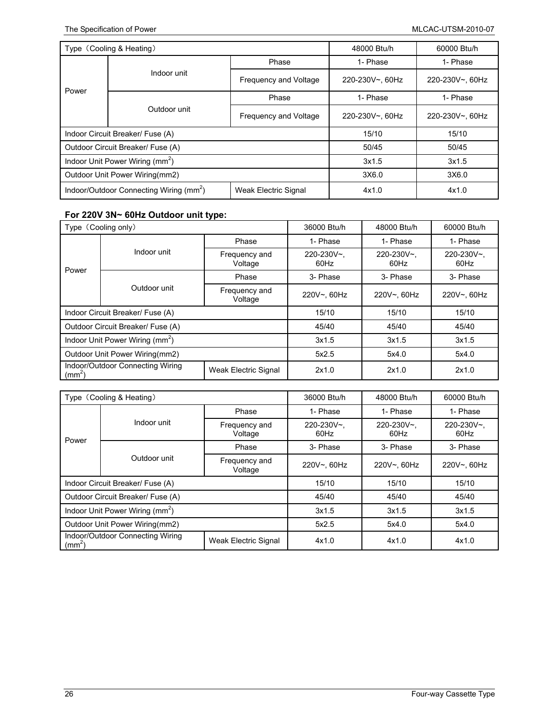| Type (Cooling & Heating)                                                    |              |                       | 48000 Btu/h     | 60000 Btu/h     |
|-----------------------------------------------------------------------------|--------------|-----------------------|-----------------|-----------------|
|                                                                             |              | Phase                 | 1- Phase        | 1- Phase        |
|                                                                             | Indoor unit  | Frequency and Voltage | 220-230V~, 60Hz | 220-230V~, 60Hz |
| Power                                                                       |              | Phase                 | 1- Phase        | 1- Phase        |
|                                                                             | Outdoor unit | Frequency and Voltage | 220-230V~, 60Hz | 220-230V~, 60Hz |
| Indoor Circuit Breaker/ Fuse (A)                                            |              | 15/10                 | 15/10           |                 |
| Outdoor Circuit Breaker/ Fuse (A)                                           |              | 50/45                 | 50/45           |                 |
| Indoor Unit Power Wiring (mm <sup>2</sup> )                                 |              | 3x1.5                 | 3x1.5           |                 |
| Outdoor Unit Power Wiring(mm2)                                              |              | 3X6.0                 | 3X6.0           |                 |
| Indoor/Outdoor Connecting Wiring (mm <sup>2</sup> )<br>Weak Electric Signal |              | 4x1.0                 | 4x1.0           |                 |

#### **For 220V 3N~ 60Hz Outdoor unit type:**

| Type (Cooling only)                                                            |              | 36000 Btu/h              | 48000 Btu/h        | 60000 Btu/h        |                    |
|--------------------------------------------------------------------------------|--------------|--------------------------|--------------------|--------------------|--------------------|
|                                                                                | Indoor unit  | Phase                    | 1- Phase           | 1- Phase           | 1- Phase           |
|                                                                                |              | Frequency and<br>Voltage | 220-230V~.<br>60Hz | 220-230V~.<br>60Hz | 220-230V~.<br>60Hz |
| Power                                                                          |              | Phase                    | 3- Phase           | 3- Phase           | 3- Phase           |
|                                                                                | Outdoor unit | Frequency and<br>Voltage | 220V~, 60Hz        | 220V~, 60Hz        | 220V~, 60Hz        |
| Indoor Circuit Breaker/ Fuse (A)                                               |              | 15/10                    | 15/10              | 15/10              |                    |
| Outdoor Circuit Breaker/ Fuse (A)                                              |              | 45/40                    | 45/40              | 45/40              |                    |
| Indoor Unit Power Wiring (mm <sup>2</sup> )                                    |              | 3x1.5                    | 3x1.5              | 3x1.5              |                    |
| Outdoor Unit Power Wiring(mm2)                                                 |              | 5x2.5                    | 5x4.0              | 5x4.0              |                    |
| Indoor/Outdoor Connecting Wiring<br>Weak Electric Signal<br>(mm <sup>2</sup> ) |              | 2x1.0                    | 2x1.0              | 2x1.0              |                    |

| Type (Cooling & Heating)                                                       |                         | 36000 Btu/h              | 48000 Btu/h        | 60000 Btu/h        |                    |
|--------------------------------------------------------------------------------|-------------------------|--------------------------|--------------------|--------------------|--------------------|
|                                                                                | Indoor unit             | Phase                    | 1- Phase           | 1- Phase           | 1- Phase           |
|                                                                                |                         | Frequency and<br>Voltage | 220-230V~,<br>60Hz | 220-230V~,<br>60Hz | 220-230V~,<br>60Hz |
| Power                                                                          |                         | Phase                    | 3- Phase           | 3- Phase           | 3- Phase           |
|                                                                                | Outdoor unit<br>Voltage | Frequency and            | 220V~, 60Hz        | 220V~, 60Hz        | 220V~, 60Hz        |
| Indoor Circuit Breaker/ Fuse (A)                                               |                         | 15/10                    | 15/10              | 15/10              |                    |
| Outdoor Circuit Breaker/ Fuse (A)                                              |                         | 45/40                    | 45/40              | 45/40              |                    |
| Indoor Unit Power Wiring (mm <sup>2</sup> )                                    |                         | 3x1.5                    | 3x1.5              | 3x1.5              |                    |
| Outdoor Unit Power Wiring(mm2)                                                 |                         | 5x2.5                    | 5x4.0              | 5x4.0              |                    |
| Indoor/Outdoor Connecting Wiring<br>Weak Electric Signal<br>(mm <sup>2</sup> ) |                         | 4x1.0                    | 4x1.0              | 4x1.0              |                    |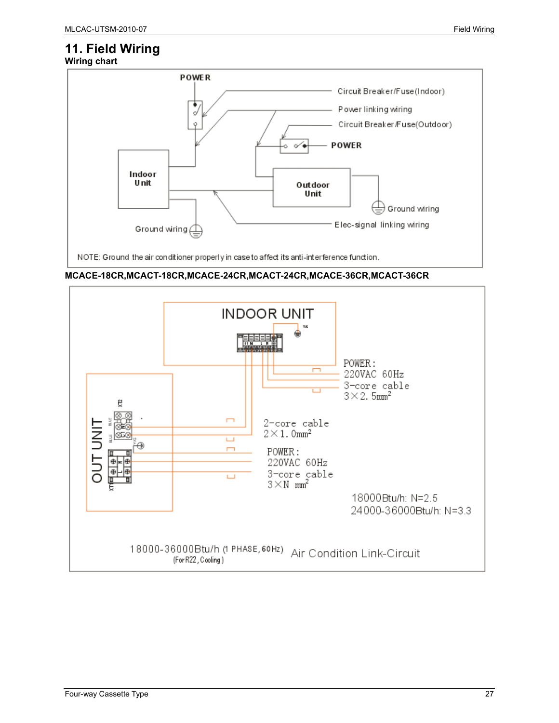### **11. Field Wiring Wiring chart**